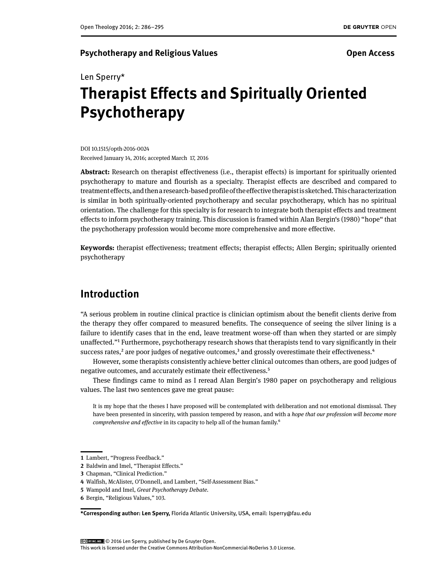### **Psychotherapy and Religious Values Community Community Community Community Community Community Community Community Community Community Community Community Community Community Community Community Community Community Commun**

# Len Sperry\* **Therapist Effects and Spiritually Oriented Psychotherapy**

DOI 10.1515/opth-2016-0024 Received January 14, 2016; accepted March 17, 2016

**Abstract:** Research on therapist effectiveness (i.e., therapist effects) is important for spiritually oriented psychotherapy to mature and flourish as a specialty. Therapist effects are described and compared to treatment effects, and then a research-based profile of the effective therapist is sketched. This characterization is similar in both spiritually-oriented psychotherapy and secular psychotherapy, which has no spiritual orientation. The challenge for this specialty is for research to integrate both therapist effects and treatment effects to inform psychotherapy training. This discussion is framed within Alan Bergin's (1980) "hope" that the psychotherapy profession would become more comprehensive and more effective.

**Keywords:** therapist effectiveness; treatment effects; therapist effects; Allen Bergin; spiritually oriented psychotherapy

# **Introduction**

"A serious problem in routine clinical practice is clinician optimism about the benefit clients derive from the therapy they offer compared to measured benefits. The consequence of seeing the silver lining is a failure to identify cases that in the end, leave treatment worse-off than when they started or are simply unaffected."1 Furthermore, psychotherapy research shows that therapists tend to vary significantly in their success rates, $2$  are poor judges of negative outcomes, $3$  and grossly overestimate their effectiveness. $4$ 

However, some therapists consistently achieve better clinical outcomes than others, are good judges of negative outcomes, and accurately estimate their effectiveness.5

These findings came to mind as I reread Alan Bergin's 1980 paper on psychotherapy and religious values. The last two sentences gave me great pause:

It is my hope that the theses I have proposed will be contemplated with deliberation and not emotional dismissal. They have been presented in sincerity, with passion tempered by reason, and with a *hope that our profession will become more comprehensive and effective* in its capacity to help all of the human family.6

**\*Corresponding author: Len Sperry,** Florida Atlantic University, USA, email: lsperry@fau.edu

© 2016 Len Sperry, published by De Gruyter Open.

**<sup>1</sup>** Lambert, "Progress Feedback."

**<sup>2</sup>** Baldwin and Imel, "Therapist Effects."

**<sup>3</sup>** Chapman, "Clinical Prediction."

**<sup>4</sup>** Walfish, McAlister, O'Donnell, and Lambert, "Self-Assessment Bias."

**<sup>5</sup>** Wampold and Imel, *Great Psychotherapy Debate.*

**<sup>6</sup>** Bergin, "Religious Values," 103.

This work is licensed under the Creative Commons Attribution-NonCommercial-NoDerivs 3.0 License.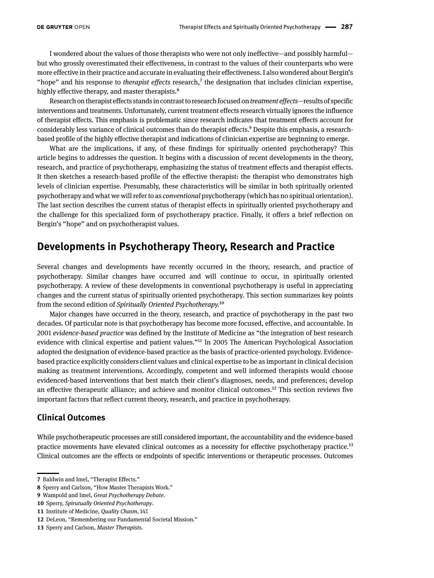I wondered about the values of those therapists who were not only ineffective—and possibly harmful but who grossly overestimated their effectiveness, in contrast to the values of their counterparts who were more effective in their practice and accurate in evaluating their effectiveness. I also wondered about Bergin's "hope" and his response to *therapist effects* research,<sup>7</sup> the designation that includes clinician expertise, highly effective therapy, and master therapists.<sup>8</sup>

Research on therapist effects stands in contrast to research focused on *treatment effects*—results of specific interventions and treatments. Unfortunately, current treatment effects research virtually ignores the influence of therapist effects. This emphasis is problematic since research indicates that treatment effects account for considerably less variance of clinical outcomes than do therapist effects.9 Despite this emphasis, a researchbased profile of the highly effective therapist and indications of clinician expertise are beginning to emerge.

What are the implications, if any, of these findings for spiritually oriented psychotherapy? This article begins to addresses the question. It begins with a discussion of recent developments in the theory, research, and practice of psychotherapy, emphasizing the status of treatment effects and therapist effects. It then sketches a research-based profile of the effective therapist: the therapist who demonstrates high levels of clinician expertise. Presumably, these characteristics will be similar in both spiritually oriented psychotherapy and what we will refer to as *conventional* psychotherapy (which has no spiritual orientation). The last section describes the current status of therapist effects in spiritually oriented psychotherapy and the challenge for this specialized form of psychotherapy practice. Finally, it offers a brief reflection on Bergin's "hope" and on psychotherapist values.

# **Developments in Psychotherapy Theory, Research and Practice**

Several changes and developments have recently occurred in the theory, research, and practice of psychotherapy. Similar changes have occurred and will continue to occur, in spiritually oriented psychotherapy. A review of these developments in conventional psychotherapy is useful in appreciating changes and the current status of spiritually oriented psychotherapy. This section summarizes key points from the second edition of *Spiritually Oriented Psychotherapy.*10

Major changes have occurred in the theory, research, and practice of psychotherapy in the past two decades. Of particular note is that psychotherapy has become more focused, effective, and accountable. In 2001 *evidence-based practice* was defined by the Institute of Medicine as "the integration of best research evidence with clinical expertise and patient values."11 In 2005 The American Psychological Association adopted the designation of evidence-based practice as the basis of practice-oriented psychology. Evidencebased practice explicitly considers client values and clinical expertise to be as important in clinical decision making as treatment interventions. Accordingly, competent and well informed therapists would choose evidenced-based interventions that best match their client's diagnoses, needs, and preferences; develop an effective therapeutic alliance; and achieve and monitor clinical outcomes.12 This section reviews five important factors that reflect current theory, research, and practice in psychotherapy.

### **Clinical Outcomes**

While psychotherapeutic processes are still considered important, the accountability and the evidence-based practice movements have elevated clinical outcomes as a necessity for effective psychotherapy practice.<sup>13</sup> Clinical outcomes are the effects or endpoints of specific interventions or therapeutic processes. Outcomes

**<sup>7</sup>** Baldwin and Imel, "Therapist Effects."

**<sup>8</sup>** Sperry and Carlson, "How Master Therapists Work."

**<sup>9</sup>** Wampold and Imel, *Great Psychotherapy Debate*.

**<sup>10</sup>** Sperry, *Spirutually Oriented Psychotherapy*.

**<sup>11</sup>** Institute of Medicine, *Quality Chasm,* 147.

**<sup>12</sup>** DeLeon, "Remembering our Fundamental Societal Mission."

**<sup>13</sup>** Sperry and Carlson, *Master Therapists.*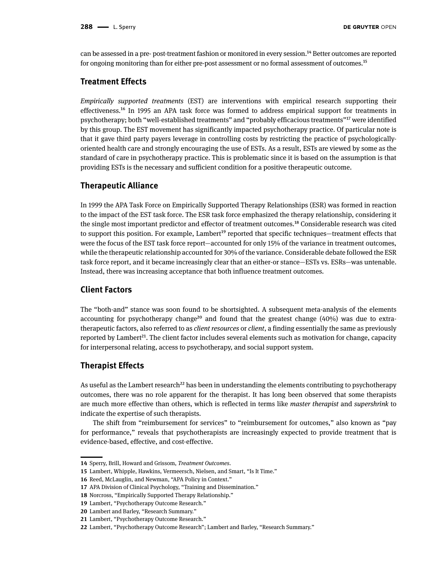can be assessed in a pre- post-treatment fashion or monitored in every session.14 Better outcomes are reported for ongoing monitoring than for either pre-post assessment or no formal assessment of outcomes.15

### **Treatment Effects**

*Empirically supported treatments* (EST) are interventions with empirical research supporting their effectiveness.16 In 1995 an APA task force was formed to address empirical support for treatments in psychotherapy; both "well-established treatments" and "probably efficacious treatments"17 were identified by this group. The EST movement has significantly impacted psychotherapy practice. Of particular note is that it gave third party payers leverage in controlling costs by restricting the practice of psychologicallyoriented health care and strongly encouraging the use of ESTs. As a result, ESTs are viewed by some as the standard of care in psychotherapy practice. This is problematic since it is based on the assumption is that providing ESTs is the necessary and sufficient condition for a positive therapeutic outcome.

### **Therapeutic Alliance**

In 1999 the APA Task Force on Empirically Supported Therapy Relationships (ESR) was formed in reaction to the impact of the EST task force. The ESR task force emphasized the therapy relationship, considering it the single most important predictor and effector of treatment outcomes.18 Considerable research was cited to support this position. For example, Lambert<sup>19</sup> reported that specific techniques—treatment effects that were the focus of the EST task force report—accounted for only 15% of the variance in treatment outcomes, while the therapeutic relationship accounted for 30% of the variance. Considerable debate followed the ESR task force report, and it became increasingly clear that an either-or stance—ESTs vs. ESRs—was untenable. Instead, there was increasing acceptance that both influence treatment outcomes.

### **Client Factors**

The "both-and" stance was soon found to be shortsighted. A subsequent meta-analysis of the elements accounting for psychotherapy change<sup>20</sup> and found that the greatest change  $(40%)$  was due to extratherapeutic factors, also referred to as *client resources* or *client*, a finding essentially the same as previously reported by Lambert<sup>21</sup>. The client factor includes several elements such as motivation for change, capacity for interpersonal relating, access to psychotherapy, and social support system.

### **Therapist Effects**

As useful as the Lambert research<sup>22</sup> has been in understanding the elements contributing to psychotherapy outcomes, there was no role apparent for the therapist. It has long been observed that some therapists are much more effective than others, which is reflected in terms like *master therapist* and *supershrink* to indicate the expertise of such therapists.

The shift from "reimbursement for services" to "reimbursement for outcomes," also known as "pay for performance," reveals that psychotherapists are increasingly expected to provide treatment that is evidence-based, effective, and cost-effective.

**<sup>14</sup>** Sperry, Brill, Howard and Grissom, *Treatment Outcomes*.

**<sup>15</sup>** Lambert, Whipple, Hawkins, Vermeersch, Nielsen, and Smart, "Is It Time."

**<sup>16</sup>** Reed, McLauglin, and Newman, "APA Policy in Context."

**<sup>17</sup>** APA Division of Clinical Psychology, "Training and Dissemination."

**<sup>18</sup>** Norcross, "Empirically Supported Therapy Relationship."

**<sup>19</sup>** Lambert, "Psychotherapy Outcome Research."

**<sup>20</sup>** Lambert and Barley, "Research Summary."

**<sup>21</sup>** Lambert, "Psychotherapy Outcome Research."

**<sup>22</sup>** Lambert, "Psychotherapy Outcome Research"; Lambert and Barley, "Research Summary."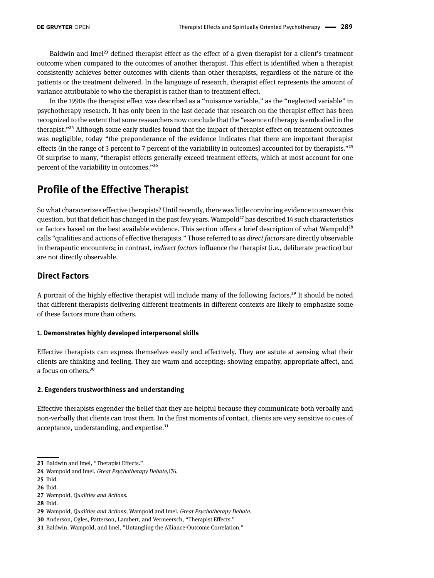Baldwin and Imel<sup>23</sup> defined therapist effect as the effect of a given therapist for a client's treatment outcome when compared to the outcomes of another therapist. This effect is identified when a therapist consistently achieves better outcomes with clients than other therapists, regardless of the nature of the patients or the treatment delivered. In the language of research, therapist effect represents the amount of variance attributable to who the therapist is rather than to treatment effect.

In the 1990s the therapist effect was described as a "nuisance variable," as the "neglected variable" in psychotherapy research. It has only been in the last decade that research on the therapist effect has been recognized to the extent that some researchers now conclude that the "essence of therapy is embodied in the therapist."24 Although some early studies found that the impact of therapist effect on treatment outcomes was negligible, today "the preponderance of the evidence indicates that there are important therapist effects (in the range of 3 percent to 7 percent of the variability in outcomes) accounted for by therapists."<sup>25</sup> Of surprise to many, "therapist effects generally exceed treatment effects, which at most account for one percent of the variability in outcomes."26

# **Profile of the Effective Therapist**

So what characterizes effective therapists? Until recently, there was little convincing evidence to answer this question, but that deficit has changed in the past few years. Wampold<sup>27</sup> has described 14 such characteristics or factors based on the best available evidence. This section offers a brief description of what Wampold<sup>28</sup> calls "qualities and actions of effective therapists." Those referred to as *direct factors* are directly observable in therapeutic encounters; in contrast, *indirect factors* influence the therapist (i.e., deliberate practice) but are not directly observable.

# **Direct Factors**

A portrait of the highly effective therapist will include many of the following factors.29 It should be noted that different therapists delivering different treatments in different contexts are likely to emphasize some of these factors more than others.

#### **1. Demonstrates highly developed interpersonal skills**

Effective therapists can express themselves easily and effectively. They are astute at sensing what their clients are thinking and feeling. They are warm and accepting: showing empathy, appropriate affect, and a focus on others.30

### **2. Engenders trustworthiness and understanding**

Effective therapists engender the belief that they are helpful because they communicate both verbally and non-verbally that clients can trust them. In the first moments of contact, clients are very sensitive to cues of acceptance, understanding, and expertise.<sup>31</sup>

**<sup>23</sup>** Baldwin and Imel, "Therapist Effects."

**<sup>24</sup>** Wampold and Imel, *Great Psychotherapy Debate,*176.

**<sup>25</sup>** Ibid.

**<sup>26</sup>** Ibid.

**<sup>27</sup>** Wampold, *Qualities and Actions.*

**<sup>28</sup>** Ibid.

**<sup>29</sup>** Wampold, *Qualities and Actions*; Wampold and Imel, *Great Psychotherapy Debate.*

**<sup>30</sup>** Anderson, Ogles, Patterson, Lambert, and Vermeersch, "Therapist Effects."

**<sup>31</sup>** Baldwin, Wampold, and Imel, "Untangling the Alliance-Outcome Correlation."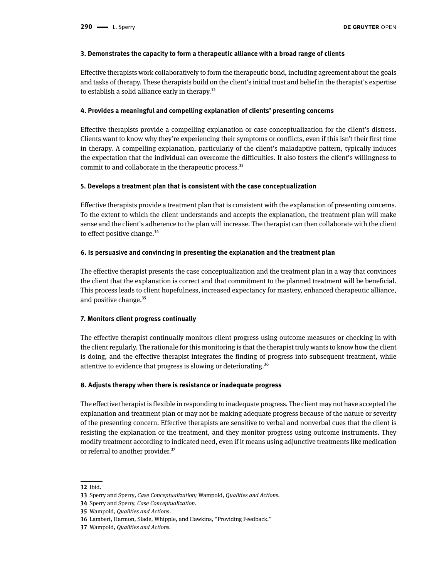#### **3. Demonstrates the capacity to form a therapeutic alliance with a broad range of clients**

Effective therapists work collaboratively to form the therapeutic bond, including agreement about the goals and tasks of therapy. These therapists build on the client's initial trust and belief in the therapist's expertise to establish a solid alliance early in therapy.<sup>32</sup>

#### **4. Provides a meaningful and compelling explanation of clients' presenting concerns**

Effective therapists provide a compelling explanation or case conceptualization for the client's distress. Clients want to know why they're experiencing their symptoms or conflicts, even if this isn't their first time in therapy. A compelling explanation, particularly of the client's maladaptive pattern, typically induces the expectation that the individual can overcome the difficulties. It also fosters the client's willingness to commit to and collaborate in the therapeutic process.<sup>33</sup>

#### **5. Develops a treatment plan that is consistent with the case conceptualization**

Effective therapists provide a treatment plan that is consistent with the explanation of presenting concerns. To the extent to which the client understands and accepts the explanation, the treatment plan will make sense and the client's adherence to the plan will increase. The therapist can then collaborate with the client to effect positive change.<sup>34</sup>

#### **6. Is persuasive and convincing in presenting the explanation and the treatment plan**

The effective therapist presents the case conceptualization and the treatment plan in a way that convinces the client that the explanation is correct and that commitment to the planned treatment will be beneficial. This process leads to client hopefulness, increased expectancy for mastery, enhanced therapeutic alliance, and positive change.<sup>35</sup>

#### **7. Monitors client progress continually**

The effective therapist continually monitors client progress using outcome measures or checking in with the client regularly. The rationale for this monitoring is that the therapist truly wants to know how the client is doing, and the effective therapist integrates the finding of progress into subsequent treatment, while attentive to evidence that progress is slowing or deteriorating.36

#### **8. Adjusts therapy when there is resistance or inadequate progress**

The effective therapist is flexible in responding to inadequate progress. The client may not have accepted the explanation and treatment plan or may not be making adequate progress because of the nature or severity of the presenting concern. Effective therapists are sensitive to verbal and nonverbal cues that the client is resisting the explanation or the treatment, and they monitor progress using outcome instruments. They modify treatment according to indicated need, even if it means using adjunctive treatments like medication or referral to another provider.<sup>37</sup>

**<sup>32</sup>** Ibid.

**<sup>33</sup>** Sperry and Sperry*, Case Conceptualization;* Wampold, *Qualities and Actions.* 

**<sup>34</sup>** Sperry and Sperry, *Case Conceptualization*.

**<sup>35</sup>** Wampold, *Qualities and Actions*.

**<sup>36</sup>** Lambert, Harmon, Slade, Whipple, and Hawkins, "Providing Feedback."

**<sup>37</sup>** Wampold, *Qualities and Actions.*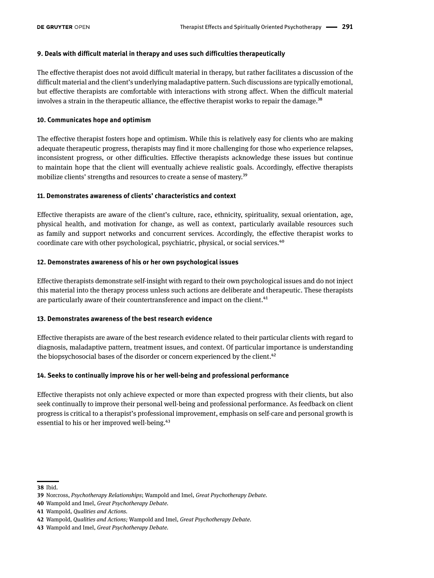### **9. Deals with difficult material in therapy and uses such difficulties therapeutically**

The effective therapist does not avoid difficult material in therapy, but rather facilitates a discussion of the difficult material and the client's underlying maladaptive pattern. Such discussions are typically emotional, but effective therapists are comfortable with interactions with strong affect. When the difficult material involves a strain in the therapeutic alliance, the effective therapist works to repair the damage.<sup>38</sup>

#### **10. Communicates hope and optimism**

The effective therapist fosters hope and optimism. While this is relatively easy for clients who are making adequate therapeutic progress, therapists may find it more challenging for those who experience relapses, inconsistent progress, or other difficulties. Effective therapists acknowledge these issues but continue to maintain hope that the client will eventually achieve realistic goals. Accordingly, effective therapists mobilize clients' strengths and resources to create a sense of mastery.<sup>39</sup>

#### **11. Demonstrates awareness of clients' characteristics and context**

Effective therapists are aware of the client's culture, race, ethnicity, spirituality, sexual orientation, age, physical health, and motivation for change, as well as context, particularly available resources such as family and support networks and concurrent services. Accordingly, the effective therapist works to coordinate care with other psychological, psychiatric, physical, or social services.<sup>40</sup>

#### **12. Demonstrates awareness of his or her own psychological issues**

Effective therapists demonstrate self-insight with regard to their own psychological issues and do not inject this material into the therapy process unless such actions are deliberate and therapeutic. These therapists are particularly aware of their countertransference and impact on the client.<sup>41</sup>

### **13. Demonstrates awareness of the best research evidence**

Effective therapists are aware of the best research evidence related to their particular clients with regard to diagnosis, maladaptive pattern, treatment issues, and context. Of particular importance is understanding the biopsychosocial bases of the disorder or concern experienced by the client.<sup>42</sup>

### **14. Seeks to continually improve his or her well-being and professional performance**

Effective therapists not only achieve expected or more than expected progress with their clients, but also seek continually to improve their personal well-being and professional performance. As feedback on client progress is critical to a therapist's professional improvement, emphasis on self-care and personal growth is essential to his or her improved well-being.<sup>43</sup>

**<sup>38</sup>** Ibid.

**<sup>39</sup>** Norcross, *Psychotherapy Relationships*; Wampold and Imel, *Great Psychotherapy Debate.*

**<sup>40</sup>** Wampold and Imel, *Great Psychotherapy Debate.*

**<sup>41</sup>** Wampold, *Qualities and Actions.*

**<sup>42</sup>** Wampold*, Qualities and Actions;* Wampold and Imel, *Great Psychotherapy Debate.*

**<sup>43</sup>** Wampold and Imel, *Great Psychotherapy Debate.*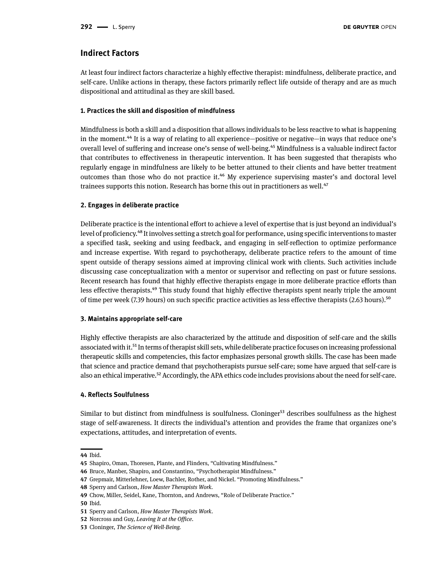# **Indirect Factors**

At least four indirect factors characterize a highly effective therapist: mindfulness, deliberate practice, and self-care. Unlike actions in therapy, these factors primarily reflect life outside of therapy and are as much dispositional and attitudinal as they are skill based.

### **1. Practices the skill and disposition of mindfulness**

Mindfulness is both a skill and a disposition that allows individuals to be less reactive to what is happening in the moment.<sup>44</sup> It is a way of relating to all experience—positive or negative—in ways that reduce one's overall level of suffering and increase one's sense of well-being.45 Mindfulness is a valuable indirect factor that contributes to effectiveness in therapeutic intervention. It has been suggested that therapists who regularly engage in mindfulness are likely to be better attuned to their clients and have better treatment outcomes than those who do not practice it.46 My experience supervising master's and doctoral level trainees supports this notion. Research has borne this out in practitioners as well.<sup>47</sup>

### **2. Engages in deliberate practice**

Deliberate practice is the intentional effort to achieve a level of expertise that is just beyond an individual's level of proficiency.48 It involves setting a stretch goal for performance, using specific interventions to master a specified task, seeking and using feedback, and engaging in self-reflection to optimize performance and increase expertise. With regard to psychotherapy, deliberate practice refers to the amount of time spent outside of therapy sessions aimed at improving clinical work with clients. Such activities include discussing case conceptualization with a mentor or supervisor and reflecting on past or future sessions. Recent research has found that highly effective therapists engage in more deliberate practice efforts than less effective therapists.49 This study found that highly effective therapists spent nearly triple the amount of time per week (7.39 hours) on such specific practice activities as less effective therapists (2.63 hours).<sup>50</sup>

### **3. Maintains appropriate self-care**

Highly effective therapists are also characterized by the attitude and disposition of self-care and the skills associated with it.51 In terms of therapist skill sets, while deliberate practice focuses on increasing professional therapeutic skills and competencies, this factor emphasizes personal growth skills. The case has been made that science and practice demand that psychotherapists pursue self-care; some have argued that self-care is also an ethical imperative.<sup>52</sup> Accordingly, the APA ethics code includes provisions about the need for self-care.

### **4. Reflects Soulfulness**

Similar to but distinct from mindfulness is soulfulness. Cloninger<sup>53</sup> describes soulfulness as the highest stage of self-awareness. It directs the individual's attention and provides the frame that organizes one's expectations, attitudes, and interpretation of events.

**<sup>44</sup>** Ibid.

**<sup>45</sup>** Shapiro, Oman, Thoresen, Plante, and Flinders, "Cultivating Mindfulness."

**<sup>46</sup>** Bruce, Manber, Shapiro, and Constantino, "Psychotherapist Mindfulness."

**<sup>47</sup>** Grepmair, Mitterlehner, Loew, Bachler, Rother, and Nickel. "Promoting Mindfulness."

**<sup>48</sup>** Sperry and Carlson, *How Master Therapists Work.*

**<sup>49</sup>** Chow, Miller, Seidel, Kane, Thornton, and Andrews, "Role of Deliberate Practice."

**<sup>50</sup>** Ibid.

**<sup>51</sup>** Sperry and Carlson, *How Master Therapists Work*.

**<sup>52</sup>** Norcross and Guy, *Leaving It at the Office.*

**<sup>53</sup>** Cloninger, *The Science of Well-Being.*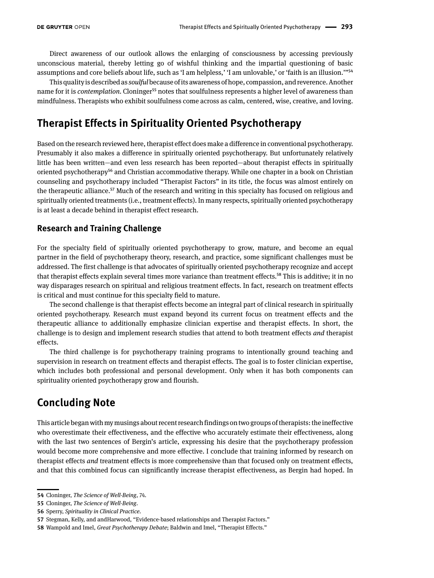# Direct awareness of our outlook allows the enlarging of consciousness by accessing previously unconscious material, thereby letting go of wishful thinking and the impartial questioning of basic assumptions and core beliefs about life, such as 'I am helpless,' 'I am unlovable,' or 'faith is an illusion.'"54

This quality is described as *soulful* because of its awareness of hope, compassion, and reverence. Another name for it is *contemplation*. Cloninger<sup>55</sup> notes that soulfulness represents a higher level of awareness than mindfulness. Therapists who exhibit soulfulness come across as calm, centered, wise, creative, and loving.

# **Therapist Effects in Spirituality Oriented Psychotherapy**

Based on the research reviewed here, therapist effect does make a difference in conventional psychotherapy. Presumably it also makes a difference in spiritually oriented psychotherapy. But unfortunately relatively little has been written—and even less research has been reported—about therapist effects in spiritually oriented psychotherapy<sup>56</sup> and Christian accommodative therapy. While one chapter in a book on Christian counseling and psychotherapy included "Therapist Factors" in its title, the focus was almost entirely on the therapeutic alliance.57 Much of the research and writing in this specialty has focused on religious and spiritually oriented treatments (i.e., treatment effects). In many respects, spiritually oriented psychotherapy is at least a decade behind in therapist effect research.

# **Research and Training Challenge**

For the specialty field of spiritually oriented psychotherapy to grow, mature, and become an equal partner in the field of psychotherapy theory, research, and practice, some significant challenges must be addressed. The first challenge is that advocates of spiritually oriented psychotherapy recognize and accept that therapist effects explain several times more variance than treatment effects.<sup>58</sup> This is additive; it in no way disparages research on spiritual and religious treatment effects. In fact, research on treatment effects is critical and must continue for this specialty field to mature.

The second challenge is that therapist effects become an integral part of clinical research in spiritually oriented psychotherapy. Research must expand beyond its current focus on treatment effects and the therapeutic alliance to additionally emphasize clinician expertise and therapist effects. In short, the challenge is to design and implement research studies that attend to both treatment effects *and* therapist effects.

The third challenge is for psychotherapy training programs to intentionally ground teaching and supervision in research on treatment effects and therapist effects. The goal is to foster clinician expertise, which includes both professional and personal development. Only when it has both components can spirituality oriented psychotherapy grow and flourish.

# **Concluding Note**

This article began with my musings about recent research findings on two groups of therapists: the ineffective who overestimate their effectiveness, and the effective who accurately estimate their effectiveness, along with the last two sentences of Bergin's article, expressing his desire that the psychotherapy profession would become more comprehensive and more effective. I conclude that training informed by research on therapist effects *and* treatment effects is more comprehensive than that focused only on treatment effects, and that this combined focus can significantly increase therapist effectiveness, as Bergin had hoped. In

**<sup>54</sup>** Cloninger, *The Science of Well-Being*, 74.

**<sup>55</sup>** Cloninger, *The Science of Well-Being*.

**<sup>56</sup>** Sperry, *Spirituality in Clinical Practice.*

**<sup>57</sup>** Stegman, Kelly, and andHarwood, "Evidence-based relationships and Therapist Factors."

**<sup>58</sup>** Wampold and Imel, *Great Psychotherapy Debate*; Baldwin and Imel, "Therapist Effects."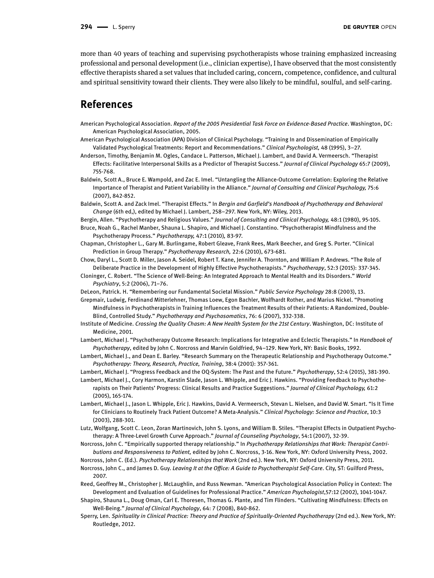more than 40 years of teaching and supervising psychotherapists whose training emphasized increasing professional and personal development (i.e., clinician expertise), I have observed that the most consistently effective therapists shared a set values that included caring, concern, competence, confidence, and cultural and spiritual sensitivity toward their clients. They were also likely to be mindful, soulful, and self-caring.

# **References**

- American Psychological Association. *Report of the 2005 Presidential Task Force on Evidence-Based Practice*. Washington, DC: American Psychological Association, 2005.
- American Psychological Association (APA) Division of Clinical Psychology. "Training In and Dissemination of Empirically Validated Psychological Treatments: Report and Recommendations." *Clinical Psychologist,* 48 (1995), 3–27.
- Anderson, Timothy, Benjamin M. Ogles, Candace L. Patterson, Michael J. Lambert, and David A. Vermeersch. "Therapist Effects: Facilitative Interpersonal Skills as a Predictor of Therapist Success." *Journal of Clinical Psychology* 65:7 (2009), 755-768.
- Baldwin, Scott A., Bruce E. Wampold, and Zac E. Imel. "Untangling the Alliance-Outcome Correlation: Exploring the Relative Importance of Therapist and Patient Variability in the Alliance." *Journal of Consulting and Clinical Psychology,* 75:6 (2007), 842-852.
- Baldwin, Scott A. and Zack Imel. "Therapist Effects." In *Bergin and Garfield's Handbook of Psychotherapy and Behavioral Change* (6th ed,), edited by Michael J. Lambert, 258–297. New York, NY: Wiley, 2013.

Bergin, Allen. "Psychotherapy and Religious Values." *Journal of Consulting and Clinical Psychology,* 48:1 (1980), 95-105.

Bruce, Noah G., Rachel Manber, Shauna L. Shapiro, and Michael J. Constantino. "Psychotherapist Mindfulness and the Psychotherapy Process." *Psychotherapy,* 47:1 (2010)*,* 83-97.

- Chapman, Christopher L., Gary M. Burlingame, Robert Gleave, Frank Rees, Mark Beecher, and Greg S. Porter. "Clinical Prediction in Group Therapy." *Psychotherapy Research,* 22:6 (2010), 673-681.
- Chow, Daryl L., Scott D. Miller, Jason A. Seidel, Robert T. Kane, Jennifer A. Thornton, and William P. Andrews. "The Role of Deliberate Practice in the Development of Highly Effective Psychotherapists." *Psychotherapy*, 52:3 (2015): 337-345.
- Cloninger, C. Robert. "The Science of Well-Being: An Integrated Approach to Mental Health and its Disorders." *World Psychiatry*, 5:2 (2006), 71–76.
- DeLeon, Patrick. H. "Remembering our Fundamental Societal Mission." *Public Service Psychology* 28:8 (2003), 13.
- Grepmair, Ludwig, Ferdinand Mitterlehner, Thomas Loew, Egon Bachler, Wolfhardt Rother, and Marius Nickel. "Promoting Mindfulness in Psychotherapists in Training Influences the Treatment Results of their Patients: A Randomized, Double-Blind, Controlled Study." *Psychotherapy and Psychosomatics*, 76: 6 (2007), 332-338.
- Institute of Medicine. *Crossing the Quality Chasm: A New Health System for the 21st Century*. Washington, DC: Institute of Medicine, 2001.
- Lambert, Michael J. "Psychotherapy Outcome Research: Implications for Integrative and Eclectic Therapists." In *Handbook of Psychotherapy*, edited by John C. Norcross and Marvin Goldfried, 94–129. New York, NY: Basic Books, 1992.
- Lambert, Michael J., and Dean E. Barley. "Research Summary on the Therapeutic Relationship and Psychotherapy Outcome." *Psychotherapy: Theory, Research, Practice, Training*, 38:4 (2001): 357-361.
- Lambert, Michael J. "Progress Feedback and the OQ-System: The Past and the Future." *Psychotherapy*, 52:4 (2015), 381-390.
- Lambert, Michael J., Cory Harmon, Karstin Slade, Jason L. Whipple, and Eric J. Hawkins. "Providing Feedback to Psychotherapists on Their Patients' Progress: Clinical Results and Practice Suggestions." *Journal of Clinical Psychology,* 61:2 (2005), 165-174.
- Lambert, Michael J., Jason L. Whipple, Eric J. Hawkins, David A. Vermeersch, Stevan L. Nielsen, and David W. Smart. "Is It Time for Clinicians to Routinely Track Patient Outcome? A Meta-Analysis." *Clinical Psychology: Science and Practice*, 10:3 (2003), 288-301.
- Lutz, Wolfgang, Scott C. Leon, Zoran Martinovich, John S. Lyons, and William B. Stiles. "Therapist Effects in Outpatient Psychotherapy: A Three-Level Growth Curve Approach." *Journal of Counseling Psychology*, 54:1 (2007), 32-39.
- Norcross, John C. "Empirically supported therapy relationship." In *Psychotherapy Relationships that Work: Therapist Contributions and Responsiveness to Patient,* edited by John C. Norcross, 3-16. New York, NY: Oxford University Press, 2002.
- Norcross, John C. (Ed.). *Psychotherapy Relationships that Work* (2nd ed.). New York, NY: Oxford University Press, 2011.
- Norcross, John C., and James D. Guy. *Leaving It at the Office: A Guide to Psychotherapist Self-Care*. City, ST: Guilford Press, 2007.
- Reed, Geoffrey M., Christopher J. McLaughlin, and Russ Newman. "American Psychological Association Policy in Context: The Development and Evaluation of Guidelines for Professional Practice." *American Psychologist*,57:12 (2002), 1041-1047.

Shapiro, Shauna L., Doug Oman, Carl E. Thoresen, Thomas G. Plante, and Tim Flinders. "Cultivating Mindfulness: Effects on Well-Being." *Journal of Clinical Psychology*, 64: 7 (2008), 840-862.

Sperry, Len. *Spirituality in Clinical Practice: Theory and Practice of Spiritually-Oriented Psychotherapy* (2nd ed.). New York, NY: Routledge, 2012.